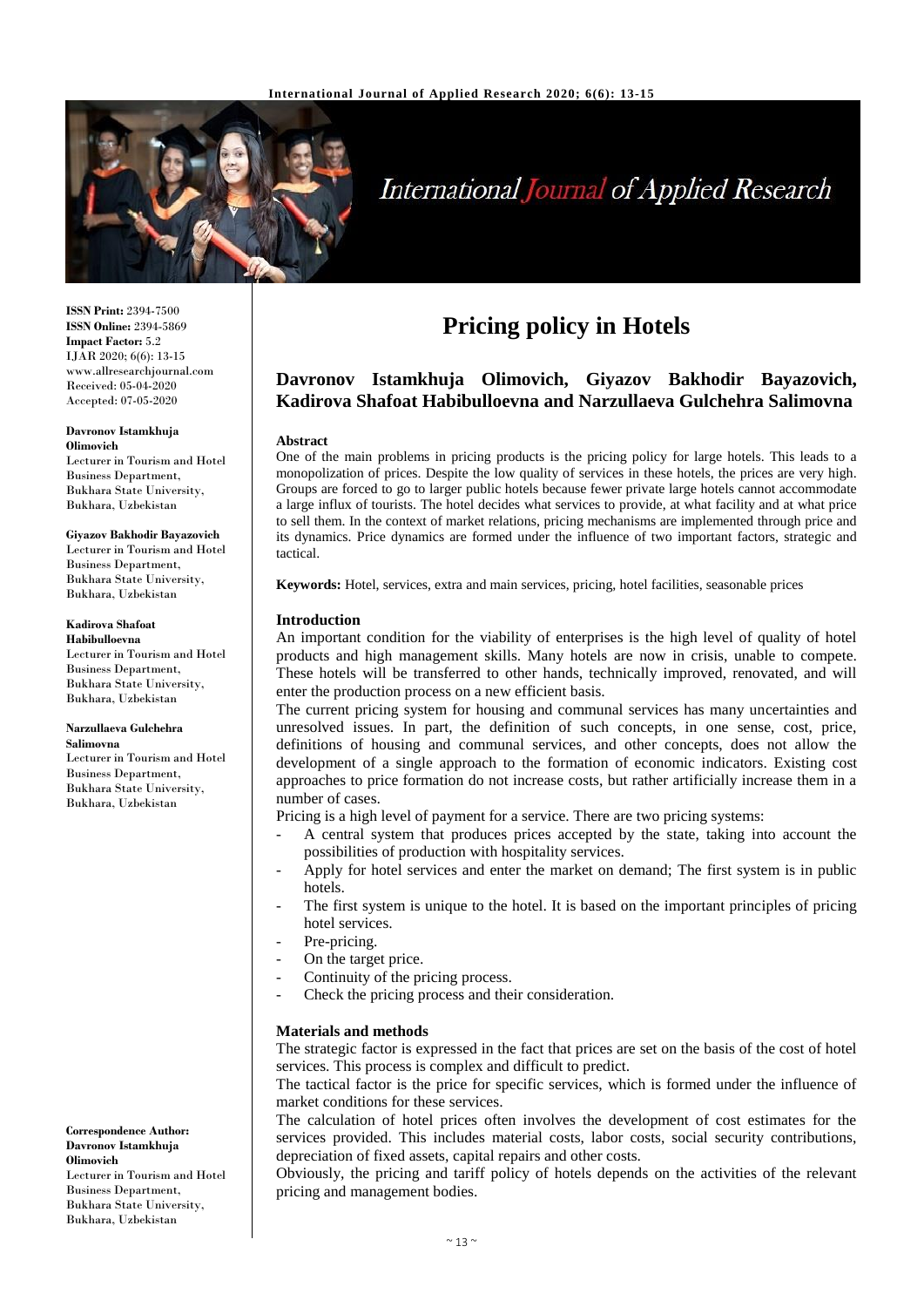

# **International Journal of Applied Research**

**ISSN Print:** 2394-7500 **ISSN Online:** 2394-5869 **Impact Factor:** 5.2 IJAR 2020; 6(6): 13-15 www.allresearchjournal.com Received: 05-04-2020 Accepted: 07-05-2020

#### **Davronov Istamkhuja Olimovich**

Lecturer in Tourism and Hotel Business Department, Bukhara State University, Bukhara, Uzbekistan

#### **Giyazov Bakhodir Bayazovich**

Lecturer in Tourism and Hotel Business Department, Bukhara State University, Bukhara, Uzbekistan

### **Kadirova Shafoat**

**Habibulloevna** Lecturer in Tourism and Hotel Business Department, Bukhara State University, Bukhara, Uzbekistan

#### **Narzullaeva Gulchehra Salimovna**

Lecturer in Tourism and Hotel Business Department, Bukhara State University, Bukhara, Uzbekistan

**Correspondence Author: Davronov Istamkhuja Olimovich**  Lecturer in Tourism and Hotel Business Department, Bukhara State University, Bukhara, Uzbekistan

# **Pricing policy in Hotels**

## **Davronov Istamkhuja Olimovich, Giyazov Bakhodir Bayazovich, Kadirova Shafoat Habibulloevna and Narzullaeva Gulchehra Salimovna**

#### **Abstract**

One of the main problems in pricing products is the pricing policy for large hotels. This leads to a monopolization of prices. Despite the low quality of services in these hotels, the prices are very high. Groups are forced to go to larger public hotels because fewer private large hotels cannot accommodate a large influx of tourists. The hotel decides what services to provide, at what facility and at what price to sell them. In the context of market relations, pricing mechanisms are implemented through price and its dynamics. Price dynamics are formed under the influence of two important factors, strategic and tactical.

**Keywords:** Hotel, services, extra and main services, pricing, hotel facilities, seasonable prices

#### **Introduction**

An important condition for the viability of enterprises is the high level of quality of hotel products and high management skills. Many hotels are now in crisis, unable to compete. These hotels will be transferred to other hands, technically improved, renovated, and will enter the production process on a new efficient basis.

The current pricing system for housing and communal services has many uncertainties and unresolved issues. In part, the definition of such concepts, in one sense, cost, price, definitions of housing and communal services, and other concepts, does not allow the development of a single approach to the formation of economic indicators. Existing cost approaches to price formation do not increase costs, but rather artificially increase them in a number of cases.

Pricing is a high level of payment for a service. There are two pricing systems:

- A central system that produces prices accepted by the state, taking into account the possibilities of production with hospitality services.
- Apply for hotel services and enter the market on demand; The first system is in public hotels.
- The first system is unique to the hotel. It is based on the important principles of pricing hotel services.
- Pre-pricing.
- On the target price.
- Continuity of the pricing process.
- Check the pricing process and their consideration.

#### **Materials and methods**

The strategic factor is expressed in the fact that prices are set on the basis of the cost of hotel services. This process is complex and difficult to predict.

The tactical factor is the price for specific services, which is formed under the influence of market conditions for these services.

The calculation of hotel prices often involves the development of cost estimates for the services provided. This includes material costs, labor costs, social security contributions, depreciation of fixed assets, capital repairs and other costs.

Obviously, the pricing and tariff policy of hotels depends on the activities of the relevant pricing and management bodies.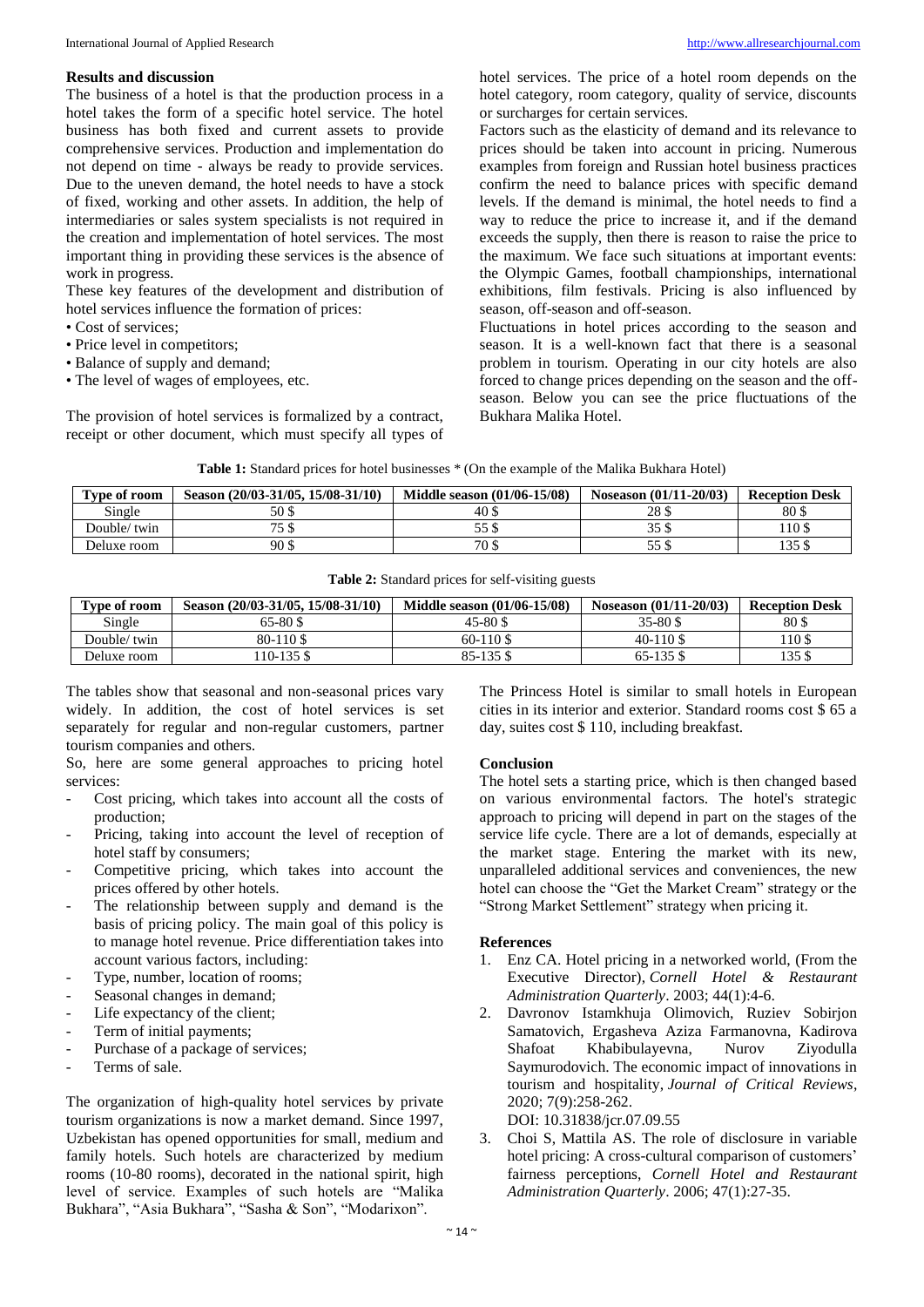#### **Results and discussion**

The business of a hotel is that the production process in a hotel takes the form of a specific hotel service. The hotel business has both fixed and current assets to provide comprehensive services. Production and implementation do not depend on time - always be ready to provide services. Due to the uneven demand, the hotel needs to have a stock of fixed, working and other assets. In addition, the help of intermediaries or sales system specialists is not required in the creation and implementation of hotel services. The most important thing in providing these services is the absence of work in progress.

These key features of the development and distribution of hotel services influence the formation of prices:

- Cost of services;
- Price level in competitors;
- Balance of supply and demand;
- The level of wages of employees, etc.

The provision of hotel services is formalized by a contract, receipt or other document, which must specify all types of hotel services. The price of a hotel room depends on the hotel category, room category, quality of service, discounts or surcharges for certain services.

Factors such as the elasticity of demand and its relevance to prices should be taken into account in pricing. Numerous examples from foreign and Russian hotel business practices confirm the need to balance prices with specific demand levels. If the demand is minimal, the hotel needs to find a way to reduce the price to increase it, and if the demand exceeds the supply, then there is reason to raise the price to the maximum. We face such situations at important events: the Olympic Games, football championships, international exhibitions, film festivals. Pricing is also influenced by season, off-season and off-season.

Fluctuations in hotel prices according to the season and season. It is a well-known fact that there is a seasonal problem in tourism. Operating in our city hotels are also forced to change prices depending on the season and the offseason. Below you can see the price fluctuations of the Bukhara Malika Hotel.

|  |  | <b>Table 1:</b> Standard prices for hotel businesses * (On the example of the Malika Bukhara Hotel) |  |
|--|--|-----------------------------------------------------------------------------------------------------|--|
|--|--|-----------------------------------------------------------------------------------------------------|--|

| Type of room | Season (20/03-31/05, 15/08-31/10) | Middle season (01/06-15/08) | Noseason (01/11-20/03) | <b>Reception Desk</b> |
|--------------|-----------------------------------|-----------------------------|------------------------|-----------------------|
| Single       | 50 S                              | 40\$                        | 28 \$                  | 80\$                  |
| Double/ twin | $\pi r$<br>נטי                    |                             | JJ D                   | 110 S                 |
| Deluxe room  | 90 S                              | 70 \$                       | <i>ບບ</i> ພ            | 135 S                 |

|  |  |  | <b>Table 2:</b> Standard prices for self-visiting guests |
|--|--|--|----------------------------------------------------------|
|--|--|--|----------------------------------------------------------|

| <b>Type of room</b> | Season (20/03-31/05, 15/08-31/10) | Middle season (01/06-15/08) | Noseason $(01/11-20/03)$ | <b>Reception Desk</b> |
|---------------------|-----------------------------------|-----------------------------|--------------------------|-----------------------|
| Single              | 65-80 \$                          | $45 - 80$ \$                | $35 - 80$ \$             | 80\$                  |
| Double/ twin        | 80-110 \$                         | $60-110S$                   | $40-110S$                | 110 \$                |
| Deluxe room         | $10-135$ \$                       | $85 - 135$ \$               | $65-135$ \$              | 135 \$                |

The tables show that seasonal and non-seasonal prices vary widely. In addition, the cost of hotel services is set separately for regular and non-regular customers, partner tourism companies and others.

So, here are some general approaches to pricing hotel services:

- Cost pricing, which takes into account all the costs of production;
- Pricing, taking into account the level of reception of hotel staff by consumers;
- Competitive pricing, which takes into account the prices offered by other hotels.
- The relationship between supply and demand is the basis of pricing policy. The main goal of this policy is to manage hotel revenue. Price differentiation takes into account various factors, including:
- Type, number, location of rooms;
- Seasonal changes in demand;
- Life expectancy of the client;
- Term of initial payments;
- Purchase of a package of services;
- Terms of sale.

The organization of high-quality hotel services by private tourism organizations is now a market demand. Since 1997, Uzbekistan has opened opportunities for small, medium and family hotels. Such hotels are characterized by medium rooms (10-80 rooms), decorated in the national spirit, high level of service. Examples of such hotels are "Malika Bukhara", "Asia Bukhara", "Sasha & Son", "Modarixon".

The Princess Hotel is similar to small hotels in European cities in its interior and exterior. Standard rooms cost \$ 65 a day, suites cost \$ 110, including breakfast.

#### **Conclusion**

The hotel sets a starting price, which is then changed based on various environmental factors. The hotel's strategic approach to pricing will depend in part on the stages of the service life cycle. There are a lot of demands, especially at the market stage. Entering the market with its new, unparalleled additional services and conveniences, the new hotel can choose the "Get the Market Cream" strategy or the "Strong Market Settlement" strategy when pricing it.

#### **References**

- 1. Enz CA. Hotel pricing in a networked world, (From the Executive Director), *Cornell Hotel & Restaurant Administration Quarterly*. 2003; 44(1):4-6.
- 2. Davronov Istamkhuja Olimovich, Ruziev Sobirjon Samatovich, Ergasheva Aziza Farmanovna, Kadirova Shafoat Khabibulayevna, Nurov Ziyodulla Saymurodovich. The economic impact of innovations in tourism and hospitality, *Journal of Critical Reviews*, 2020; 7(9):258-262.
	- DOI: 10.31838/jcr.07.09.55
- 3. Choi S, Mattila AS. The role of disclosure in variable hotel pricing: A cross-cultural comparison of customers' fairness perceptions, *Cornell Hotel and Restaurant Administration Quarterly*. 2006; 47(1):27-35.